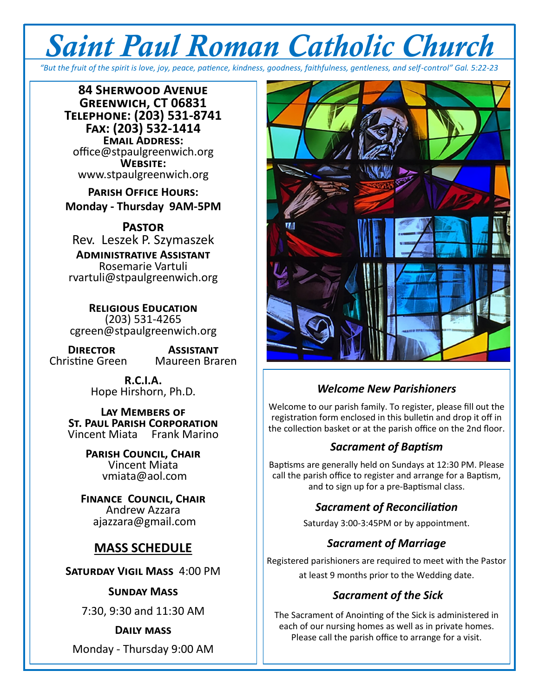# *Saint Paul Roman Catholic Church*

*"But the fruit of the spirit is love, joy, peace, patience, kindness, goodness, faithfulness, gentleness, and self-control" Gal. 5:22-23*

**84 Sherwood Avenue Greenwich, CT 06831 Telephone: (203) 531-8741 Fax: (203) 532-1414 Email Address:** office@stpaulgreenwich.org **Website:** www.stpaulgreenwich.org

**Parish Office Hours: Monday - Thursday 9AM-5PM**

**Pastor** Rev. Leszek P. Szymaszek

**Administrative Assistant** Rosemarie Vartuli rvartuli@stpaulgreenwich.org

**Religious Education** (203) 531-4265 cgreen@stpaulgreenwich.org

**DIRECTOR ASSISTANT**<br>istine Green Maureen Braren Christine Green

> **R.C.I.A.** Hope Hirshorn, Ph.D.

**Lay Members of St. Paul Parish Corporation** Vincent Miata Frank Marino

> **Parish Council, Chair** Vincent Miata vmiata@aol.com

**Finance Council, Chair** Andrew Azzara ajazzara@gmail.com

## **MASS SCHEDULE**

**Saturday Vigil Mass** 4:00 PM

#### **Sunday Mass**

7:30, 9:30 and 11:30 AM

#### **Daily mass**

Monday - Thursday 9:00 AM



## *Welcome New Parishioners*

Welcome to our parish family. To register, please fill out the registration form enclosed in this bulletin and drop it off in the collection basket or at the parish office on the 2nd floor.

## *Sacrament of Baptism*

Baptisms are generally held on Sundays at 12:30 PM. Please call the parish office to register and arrange for a Baptism, and to sign up for a pre-Baptismal class.

## *Sacrament of Reconciliation*

Saturday 3:00-3:45PM or by appointment.

## *Sacrament of Marriage*

Registered parishioners are required to meet with the Pastor at least 9 months prior to the Wedding date.

## *Sacrament of the Sick*

The Sacrament of Anointing of the Sick is administered in each of our nursing homes as well as in private homes. Please call the parish office to arrange for a visit.